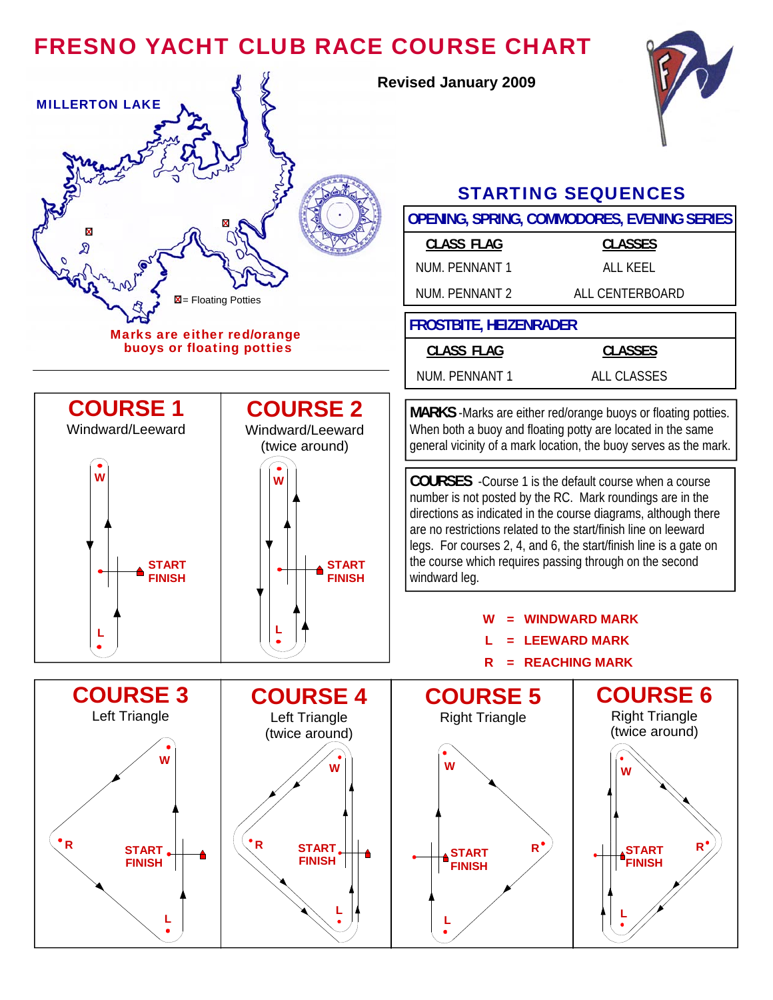## FRESNO YACHT CLUB RACE COURSE CHART



**Revised January 2009** 



## STARTING SEQUENCES

| x<br><b>CLASS FLAG</b><br><b>CLASSES</b><br>କ୍ଷ<br><b>NUM. PENNANT 1</b><br><b>ALL KEEL</b><br>NUM. PENNANT 2<br>ALL CENTERBOARD<br>$\boxtimes$ = Floating Potties<br><b>FROSTBITE, HEIZENRADER</b><br>Marks are either red/orange<br>buoys or floating potties<br><b>CLASS FLAG</b><br><b>CLASSES</b><br>NUM. PENNANT 1<br><b>ALL CLASSES</b><br><b>COURSE 1</b><br><b>COURSE 2</b><br>MARKS -Marks are either red/orange buoys or floating potties.<br>When both a buoy and floating potty are located in the same<br>Windward/Leeward<br>Windward/Leeward<br>general vicinity of a mark location, the buoy serves as the mark.<br>(twice around)<br>W<br><b>COURSES</b> - Course 1 is the default course when a course<br>W<br>number is not posted by the RC. Mark roundings are in the<br>directions as indicated in the course diagrams, although there<br>are no restrictions related to the start/finish line on leeward<br>legs. For courses 2, 4, and 6, the start/finish line is a gate on<br>the course which requires passing through on the second<br><b>START</b><br>START<br><b>FINISH</b><br><b>FINISH</b><br>windward leg.<br><b>WINDWARD MARK</b><br><b>LEEWARD MARK</b><br>= REACHING MARK<br>R<br><b>COURSE 3</b><br><b>COURSE 6</b><br><b>COURSE 4</b><br><b>COURSE 5</b><br><b>Right Triangle</b><br>Left Triangle<br>Left Triangle<br><b>Right Triangle</b><br>(twice around)<br>(twice around)<br>w<br>w<br>$\cdot R$<br>$R^{\bullet}$<br>$R^{\bullet}$<br>START.<br>START.<br><b>START</b><br><b>START</b><br><b>FINISH</b><br><b>FINISH</b><br><b>FINISH</b><br><b>FINISH</b> |  |  | OPENING, SPRING, COMMODORES, EVENING SERIES |  |
|----------------------------------------------------------------------------------------------------------------------------------------------------------------------------------------------------------------------------------------------------------------------------------------------------------------------------------------------------------------------------------------------------------------------------------------------------------------------------------------------------------------------------------------------------------------------------------------------------------------------------------------------------------------------------------------------------------------------------------------------------------------------------------------------------------------------------------------------------------------------------------------------------------------------------------------------------------------------------------------------------------------------------------------------------------------------------------------------------------------------------------------------------------------------------------------------------------------------------------------------------------------------------------------------------------------------------------------------------------------------------------------------------------------------------------------------------------------------------------------------------------------------------------------------------------------------------------------------------------|--|--|---------------------------------------------|--|
| R                                                                                                                                                                                                                                                                                                                                                                                                                                                                                                                                                                                                                                                                                                                                                                                                                                                                                                                                                                                                                                                                                                                                                                                                                                                                                                                                                                                                                                                                                                                                                                                                        |  |  |                                             |  |
|                                                                                                                                                                                                                                                                                                                                                                                                                                                                                                                                                                                                                                                                                                                                                                                                                                                                                                                                                                                                                                                                                                                                                                                                                                                                                                                                                                                                                                                                                                                                                                                                          |  |  |                                             |  |
|                                                                                                                                                                                                                                                                                                                                                                                                                                                                                                                                                                                                                                                                                                                                                                                                                                                                                                                                                                                                                                                                                                                                                                                                                                                                                                                                                                                                                                                                                                                                                                                                          |  |  |                                             |  |
|                                                                                                                                                                                                                                                                                                                                                                                                                                                                                                                                                                                                                                                                                                                                                                                                                                                                                                                                                                                                                                                                                                                                                                                                                                                                                                                                                                                                                                                                                                                                                                                                          |  |  |                                             |  |
|                                                                                                                                                                                                                                                                                                                                                                                                                                                                                                                                                                                                                                                                                                                                                                                                                                                                                                                                                                                                                                                                                                                                                                                                                                                                                                                                                                                                                                                                                                                                                                                                          |  |  |                                             |  |
|                                                                                                                                                                                                                                                                                                                                                                                                                                                                                                                                                                                                                                                                                                                                                                                                                                                                                                                                                                                                                                                                                                                                                                                                                                                                                                                                                                                                                                                                                                                                                                                                          |  |  |                                             |  |
|                                                                                                                                                                                                                                                                                                                                                                                                                                                                                                                                                                                                                                                                                                                                                                                                                                                                                                                                                                                                                                                                                                                                                                                                                                                                                                                                                                                                                                                                                                                                                                                                          |  |  |                                             |  |
|                                                                                                                                                                                                                                                                                                                                                                                                                                                                                                                                                                                                                                                                                                                                                                                                                                                                                                                                                                                                                                                                                                                                                                                                                                                                                                                                                                                                                                                                                                                                                                                                          |  |  |                                             |  |
|                                                                                                                                                                                                                                                                                                                                                                                                                                                                                                                                                                                                                                                                                                                                                                                                                                                                                                                                                                                                                                                                                                                                                                                                                                                                                                                                                                                                                                                                                                                                                                                                          |  |  |                                             |  |
|                                                                                                                                                                                                                                                                                                                                                                                                                                                                                                                                                                                                                                                                                                                                                                                                                                                                                                                                                                                                                                                                                                                                                                                                                                                                                                                                                                                                                                                                                                                                                                                                          |  |  |                                             |  |